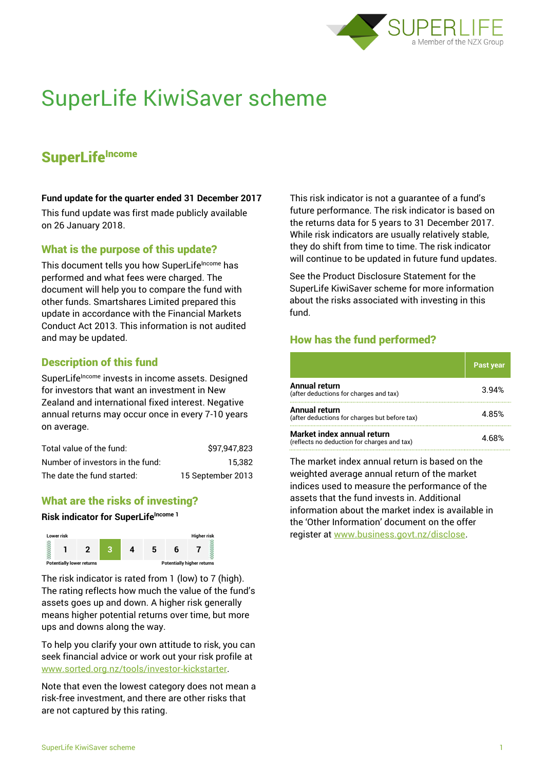

# SuperLife KiwiSaver scheme

# **SuperLifeIncome**

#### **Fund update for the quarter ended 31 December 2017**

This fund update was first made publicly available on 26 January 2018.

### What is the purpose of this update?

This document tells you how SuperLifeIncome has performed and what fees were charged. The document will help you to compare the fund with other funds. Smartshares Limited prepared this update in accordance with the Financial Markets Conduct Act 2013. This information is not audited and may be updated.

# Description of this fund

SuperLife<sup>Income</sup> invests in income assets. Designed for investors that want an investment in New Zealand and international fixed interest. Negative annual returns may occur once in every 7-10 years on average.

| Total value of the fund:         | \$97,947,823      |
|----------------------------------|-------------------|
| Number of investors in the fund: | 15.382            |
| The date the fund started:       | 15 September 2013 |

# What are the risks of investing?

#### **Risk indicator for SuperLife**Income<sub>1</sub>



The risk indicator is rated from 1 (low) to 7 (high). The rating reflects how much the value of the fund's assets goes up and down. A higher risk generally means higher potential returns over time, but more ups and downs along the way.

To help you clarify your own attitude to risk, you can seek financial advice or work out your risk profile at [www.sorted.org.nz/tools/investor-kickstarter.](http://www.sorted.org.nz/tools/investor-kickstarter)

Note that even the lowest category does not mean a risk-free investment, and there are other risks that are not captured by this rating.

This risk indicator is not a guarantee of a fund's future performance. The risk indicator is based on the returns data for 5 years to 31 December 2017. While risk indicators are usually relatively stable, they do shift from time to time. The risk indicator will continue to be updated in future fund updates.

See the Product Disclosure Statement for the SuperLife KiwiSaver scheme for more information about the risks associated with investing in this fund.

# How has the fund performed?

|                                                                           | <b>Past year</b> |
|---------------------------------------------------------------------------|------------------|
| <b>Annual return</b><br>(after deductions for charges and tax)            | 394%             |
| Annual return<br>(after deductions for charges but before tax)            | 485%             |
| Market index annual return<br>(reflects no deduction for charges and tax) |                  |

The market index annual return is based on the weighted average annual return of the market indices used to measure the performance of the assets that the fund invests in. Additional information about the market index is available in the 'Other Information' document on the offer register at www.business.govt.nz/disclose.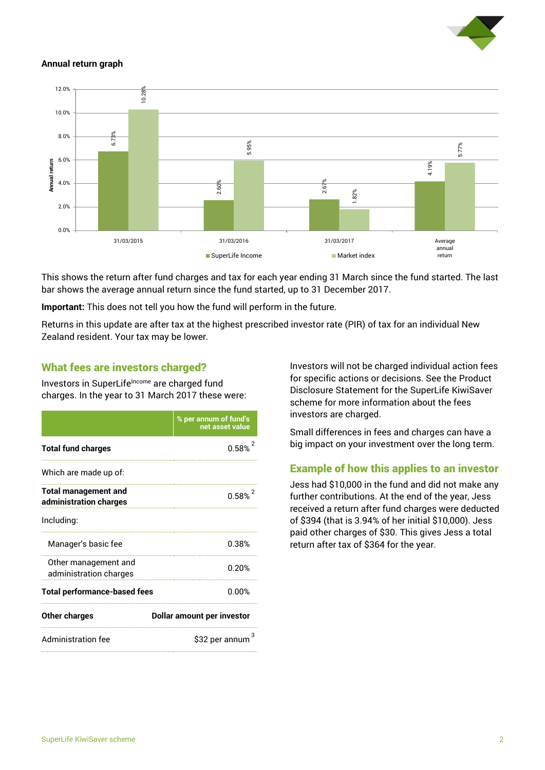

#### **Annual return graph**



This shows the return after fund charges and tax for each year ending 31 March since the fund started. The last bar shows the average annual return since the fund started, up to 31 December 2017.

**Important:** This does not tell you how the fund will perform in the future.

Returns in this update are after tax at the highest prescribed investor rate (PIR) of tax for an individual New Zealand resident. Your tax may be lower.

### What fees are investors charged?

Investors in SuperLifeIncome are charged fund charges. In the year to 31 March 2017 these were:

|                                                       | % per annum of fund's<br>net asset value |  |
|-------------------------------------------------------|------------------------------------------|--|
| <b>Total fund charges</b>                             | 0.58%                                    |  |
| Which are made up of:                                 |                                          |  |
| <b>Total management and</b><br>administration charges | 0.58%                                    |  |
| Including:                                            |                                          |  |
| Manager's basic fee                                   | 0.38%                                    |  |
| Other management and<br>administration charges        | 0.20%                                    |  |
| <b>Total performance-based fees</b>                   | 0.00%                                    |  |
| <b>Other charges</b>                                  | Dollar amount per investor               |  |
| Administration fee                                    | \$32 per annum                           |  |

Investors will not be charged individual action fees for specific actions or decisions. See the Product Disclosure Statement for the SuperLife KiwiSaver scheme for more information about the fees investors are charged.

Small differences in fees and charges can have a big impact on your investment over the long term.

# Example of how this applies to an investor

Jess had \$10,000 in the fund and did not make any further contributions. At the end of the year, Jess received a return after fund charges were deducted of \$394 (that is 3.94% of her initial \$10,000). Jess paid other charges of \$30. This gives Jess a total return after tax of \$364 for the year.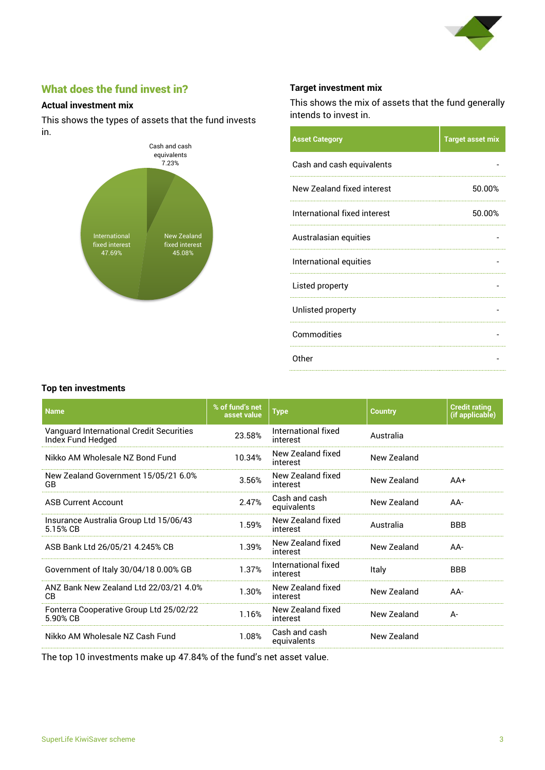

# What does the fund invest in?

#### **Actual investment mix**

This shows the types of assets that the fund invests in.



#### **Target investment mix**

This shows the mix of assets that the fund generally intends to invest in.

| 50.00% |
|--------|
| 50.00% |
|        |
|        |
|        |
|        |
|        |
|        |
|        |

#### **Top ten investments**

| <b>Name</b>                                                   | % of fund's net<br>asset value | <b>Type</b>                     | <b>Country</b> | <b>Credit rating</b><br>(if applicable) |
|---------------------------------------------------------------|--------------------------------|---------------------------------|----------------|-----------------------------------------|
| Vanguard International Credit Securities<br>Index Fund Hedged | 23.58%                         | International fixed<br>interest | Australia      |                                         |
| Nikko AM Wholesale NZ Bond Fund                               | 10.34%                         | New Zealand fixed<br>interest   | New Zealand    |                                         |
| New Zealand Government 15/05/21 6.0%<br>GB                    | 3.56%                          | New Zealand fixed<br>interest   | New Zealand    | $AA+$                                   |
| <b>ASB Current Account</b>                                    | 2.47%                          | Cash and cash<br>equivalents    | New Zealand    | AA-                                     |
| Insurance Australia Group Ltd 15/06/43<br>5.15% CB            | 1.59%                          | New Zealand fixed<br>interest   | Australia      | <b>BBB</b>                              |
| ASB Bank Ltd 26/05/21 4.245% CB                               | 1.39%                          | New Zealand fixed<br>interest   | New Zealand    | AA-                                     |
| Government of Italy 30/04/18 0.00% GB                         | 1.37%                          | International fixed<br>interest | Italy          | <b>BBB</b>                              |
| ANZ Bank New Zealand Ltd 22/03/21 4.0%<br><b>CB</b>           | 1.30%                          | New Zealand fixed<br>interest   | New Zealand    | $AA-$                                   |
| Fonterra Cooperative Group Ltd 25/02/22<br>5.90% CB           | 1.16%                          | New Zealand fixed<br>interest   | New Zealand    | A-                                      |
| Nikko AM Wholesale NZ Cash Fund                               | 1.08%                          | Cash and cash<br>equivalents    | New Zealand    |                                         |

The top 10 investments make up 47.84% of the fund's net asset value.